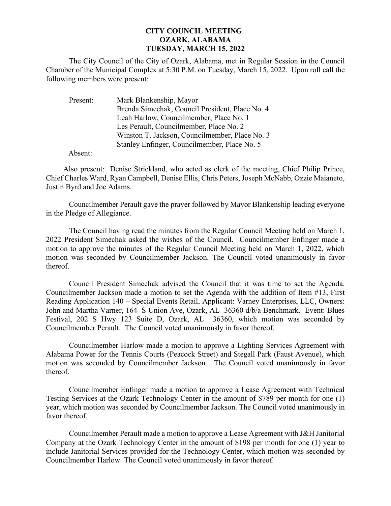## **CITY COUNCIL MEETING OZARK, ALABAMA TUESDAY, MARCH 15, 2022**

The City Council of the City of Ozark, Alabama, met in Regular Session in the Council Chamber of the Municipal Complex at 5:30 P.M. on Tuesday, March 15, 2022. Upon roll call the following members were present:

| Present: | Mark Blankenship, Mayor                         |
|----------|-------------------------------------------------|
|          | Brenda Simechak, Council President, Place No. 4 |
|          | Leah Harlow, Councilmember, Place No. 1         |
|          | Les Perault, Councilmember, Place No. 2         |
|          | Winston T. Jackson, Councilmember, Place No. 3  |
|          | Stanley Enfinger, Councilmember, Place No. 5    |

Absent:

Also present: Denise Strickland, who acted as clerk of the meeting, Chief Philip Prince, Chief Charles Ward, Ryan Campbell, Denise Ellis, Chris Peters, Joseph McNabb, Ozzie Maianeto, Justin Byrd and Joe Adams.

Councilmember Perault gave the prayer followed by Mayor Blankenship leading everyone in the Pledge of Allegiance.

The Council having read the minutes from the Regular Council Meeting held on March 1, 2022 President Simechak asked the wishes of the Council. Councilmember Enfinger made a motion to approve the minutes of the Regular Council Meeting held on March 1, 2022, which motion was seconded by Councilmember Jackson. The Council voted unanimously in favor thereof.

Council President Simechak advised the Council that it was time to set the Agenda. Councilmember Jackson made a motion to set the Agenda with the addition of Item #13, First Reading Application 140 – Special Events Retail, Applicant: Varney Enterprises, LLC, Owners: John and Martha Varner, 164 S Union Ave, Ozark, AL 36360 d/b/a Benchmark. Event: Blues Festival, 202 S Hwy 123 Suite D, Ozark, AL 36360, which motion was seconded by Councilmember Perault. The Council voted unanimously in favor thereof.

Councilmember Harlow made a motion to approve a Lighting Services Agreement with Alabama Power for the Tennis Courts (Peacock Street) and Stegall Park (Faust Avenue), which motion was seconded by Councilmember Jackson. The Council voted unanimously in favor thereof.

Councilmember Enfinger made a motion to approve a Lease Agreement with Technical Testing Services at the Ozark Technology Center in the amount of \$789 per month for one (1) year, which motion was seconded by Councilmember Jackson. The Council voted unanimously in favor thereof.

Councilmember Perault made a motion to approve a Lease Agreement with J&H Janitorial Company at the Ozark Technology Center in the amount of \$198 per month for one (1) year to include Janitorial Services provided for the Technology Center, which motion was seconded by Councilmember Harlow. The Council voted unanimously in favor thereof.